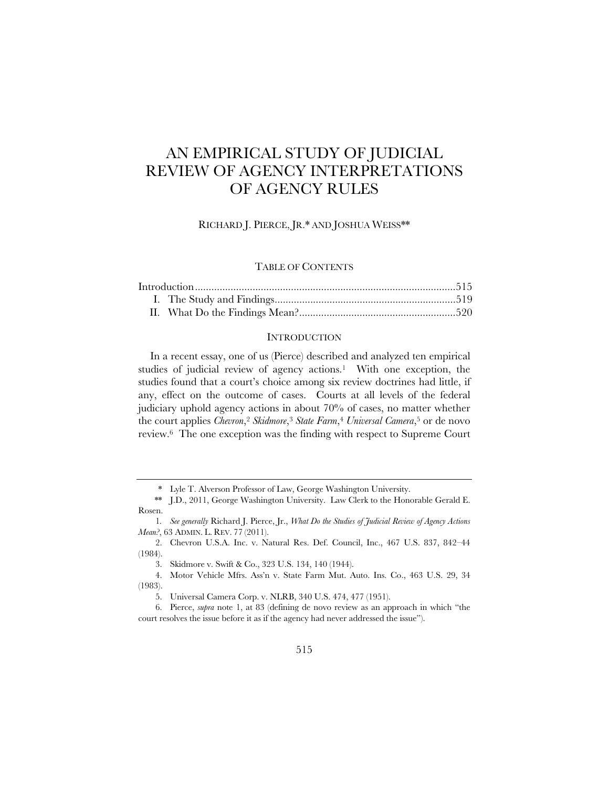# AN EMPIRICAL STUDY OF JUDICIAL REVIEW OF AGENCY INTERPRETATIONS OF AGENCY RULES

RICHARD J. PIERCE, JR.\* AND JOSHUA WEISS\*\*

## TABLE OF CONTENTS

#### **INTRODUCTION**

In a recent essay, one of us (Pierce) described and analyzed ten empirical studies of judicial review of agency actions.<sup>1</sup> With one exception, the studies found that a court's choice among six review doctrines had little, if any, effect on the outcome of cases. Courts at all levels of the federal judiciary uphold agency actions in about 70% of cases, no matter whether the court applies *Chevron*,2 *Skidmore*,3 *State Farm*,4 *Universal Camera*,5 or de novo review.6 The one exception was the finding with respect to Supreme Court

<sup>\*</sup> Lyle T. Alverson Professor of Law, George Washington University.

 <sup>\*\*</sup> J.D., 2011, George Washington University. Law Clerk to the Honorable Gerald E. Rosen.

<sup>1</sup>*. See generally* Richard J. Pierce, Jr., *What Do the Studies of Judicial Review of Agency Actions Mean?*, 63 ADMIN. L. REV. 77 (2011).

<sup>2.</sup> Chevron U.S.A. Inc. v. Natural Res. Def. Council, Inc., 467 U.S. 837, 842–44 (1984).

<sup>3.</sup> Skidmore v. Swift & Co., 323 U.S. 134, 140 (1944).

<sup>4.</sup> Motor Vehicle Mfrs. Ass'n v. State Farm Mut. Auto. Ins. Co., 463 U.S. 29, 34 (1983).

<sup>5.</sup> Universal Camera Corp. v. NLRB, 340 U.S. 474, 477 (1951).

<sup>6.</sup> Pierce, *supra* note 1, at 83 (defining de novo review as an approach in which "the court resolves the issue before it as if the agency had never addressed the issue").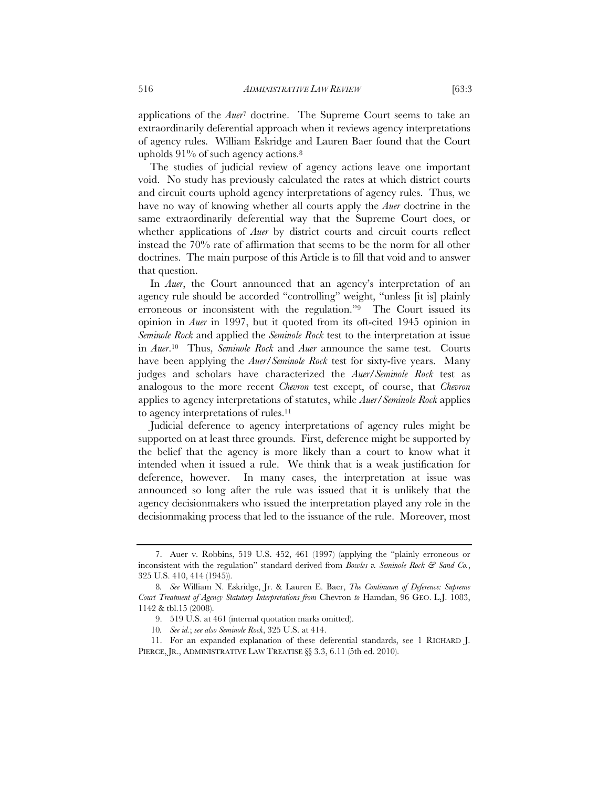applications of the *Auer*7 doctrine. The Supreme Court seems to take an extraordinarily deferential approach when it reviews agency interpretations of agency rules. William Eskridge and Lauren Baer found that the Court upholds  $91\%$  of such agency actions.<sup>8</sup>

The studies of judicial review of agency actions leave one important void. No study has previously calculated the rates at which district courts and circuit courts uphold agency interpretations of agency rules. Thus, we have no way of knowing whether all courts apply the *Auer* doctrine in the same extraordinarily deferential way that the Supreme Court does, or whether applications of *Auer* by district courts and circuit courts reflect instead the 70% rate of affirmation that seems to be the norm for all other doctrines. The main purpose of this Article is to fill that void and to answer that question.

In *Auer*, the Court announced that an agency's interpretation of an agency rule should be accorded "controlling" weight, "unless [it is] plainly erroneous or inconsistent with the regulation."9 The Court issued its opinion in *Auer* in 1997, but it quoted from its oft-cited 1945 opinion in *Seminole Rock* and applied the *Seminole Rock* test to the interpretation at issue in *Auer*.10 Thus, *Seminole Rock* and *Auer* announce the same test. Courts have been applying the *Auer*/*Seminole Rock* test for sixty-five years. Many judges and scholars have characterized the *Auer*/*Seminole Rock* test as analogous to the more recent *Chevron* test except, of course, that *Chevron* applies to agency interpretations of statutes, while *Auer*/*Seminole Rock* applies to agency interpretations of rules.11

Judicial deference to agency interpretations of agency rules might be supported on at least three grounds. First, deference might be supported by the belief that the agency is more likely than a court to know what it intended when it issued a rule. We think that is a weak justification for deference, however. In many cases, the interpretation at issue was announced so long after the rule was issued that it is unlikely that the agency decisionmakers who issued the interpretation played any role in the decisionmaking process that led to the issuance of the rule. Moreover, most

<sup>7.</sup> Auer v. Robbins, 519 U.S. 452, 461 (1997) (applying the "plainly erroneous or inconsistent with the regulation" standard derived from *Bowles v. Seminole Rock & Sand Co.*, 325 U.S. 410, 414 (1945)).

<sup>8</sup>*. See* William N. Eskridge, Jr. & Lauren E. Baer, *The Continuum of Deference: Supreme Court Treatment of Agency Statutory Interpretations from* Chevron *to* Hamdan, 96 GEO. L.J. 1083, 1142 & tbl.15 (2008).

<sup>9. 519</sup> U.S. at 461 (internal quotation marks omitted).

<sup>10</sup>*. See id.*; *see also Seminole Rock*, 325 U.S. at 414.

<sup>11.</sup> For an expanded explanation of these deferential standards, see 1 RICHARD J. PIERCE, JR., ADMINISTRATIVE LAW TREATISE §§ 3.3, 6.11 (5th ed. 2010).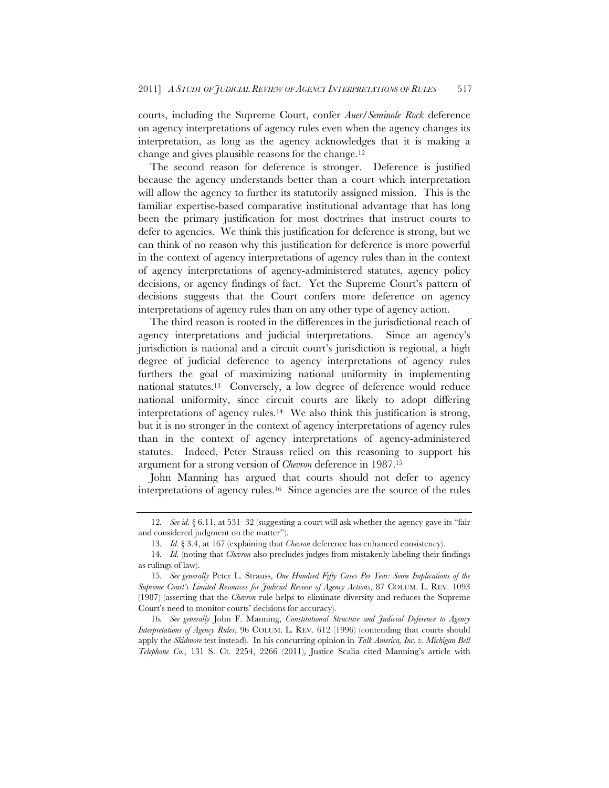courts, including the Supreme Court, confer *Auer*/*Seminole Rock* deference on agency interpretations of agency rules even when the agency changes its interpretation, as long as the agency acknowledges that it is making a change and gives plausible reasons for the change.12

The second reason for deference is stronger. Deference is justified because the agency understands better than a court which interpretation will allow the agency to further its statutorily assigned mission. This is the familiar expertise-based comparative institutional advantage that has long been the primary justification for most doctrines that instruct courts to defer to agencies. We think this justification for deference is strong, but we can think of no reason why this justification for deference is more powerful in the context of agency interpretations of agency rules than in the context of agency interpretations of agency-administered statutes, agency policy decisions, or agency findings of fact. Yet the Supreme Court's pattern of decisions suggests that the Court confers more deference on agency interpretations of agency rules than on any other type of agency action.

The third reason is rooted in the differences in the jurisdictional reach of agency interpretations and judicial interpretations. Since an agency's jurisdiction is national and a circuit court's jurisdiction is regional, a high degree of judicial deference to agency interpretations of agency rules furthers the goal of maximizing national uniformity in implementing national statutes.13 Conversely, a low degree of deference would reduce national uniformity, since circuit courts are likely to adopt differing interpretations of agency rules.14 We also think this justification is strong, but it is no stronger in the context of agency interpretations of agency rules than in the context of agency interpretations of agency-administered statutes. Indeed, Peter Strauss relied on this reasoning to support his argument for a strong version of *Chevron* deference in 1987.15

John Manning has argued that courts should not defer to agency interpretations of agency rules.16 Since agencies are the source of the rules

<sup>12</sup>*. See id.* § 6.11, at 531–32 (suggesting a court will ask whether the agency gave its "fair and considered judgment on the matter").

<sup>13</sup>*. Id.* § 3.4, at 167 (explaining that *Chevron* deference has enhanced consistency).

<sup>14</sup>*. Id.* (noting that *Chevron* also precludes judges from mistakenly labeling their findings as rulings of law).

<sup>15</sup>*. See generally* Peter L. Strauss, *One Hundred Fifty Cases Per Year: Some Implications of the Supreme Court's Limited Resources for Judicial Review of Agency Actions*, 87 COLUM. L. REV. 1093 (1987) (asserting that the *Chevron* rule helps to eliminate diversity and reduces the Supreme Court's need to monitor courts' decisions for accuracy).

<sup>16</sup>*. See generally* John F. Manning, *Constitutional Structure and Judicial Deference to Agency Interpretations of Agency Rules*, 96 COLUM. L. REV. 612 (1996) (contending that courts should apply the *Skidmore* test instead). In his concurring opinion in *Talk America, Inc. v. Michigan Bell Telephone Co.*, 131 S. Ct. 2254, 2266 (2011), Justice Scalia cited Manning's article with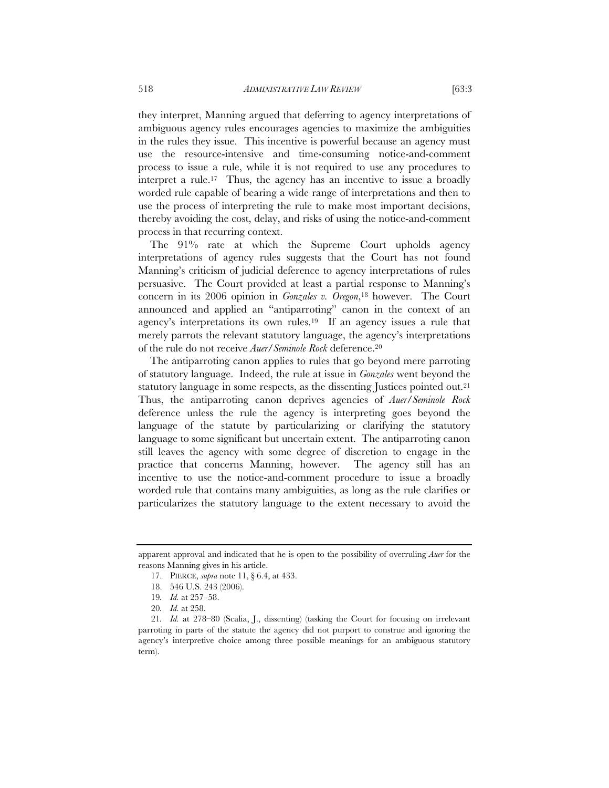they interpret, Manning argued that deferring to agency interpretations of ambiguous agency rules encourages agencies to maximize the ambiguities in the rules they issue. This incentive is powerful because an agency must use the resource-intensive and time-consuming notice-and-comment process to issue a rule, while it is not required to use any procedures to interpret a rule.17 Thus, the agency has an incentive to issue a broadly worded rule capable of bearing a wide range of interpretations and then to use the process of interpreting the rule to make most important decisions, thereby avoiding the cost, delay, and risks of using the notice-and-comment process in that recurring context.

The 91% rate at which the Supreme Court upholds agency interpretations of agency rules suggests that the Court has not found Manning's criticism of judicial deference to agency interpretations of rules persuasive. The Court provided at least a partial response to Manning's concern in its 2006 opinion in *Gonzales v. Oregon*,18 however. The Court announced and applied an "antiparroting" canon in the context of an agency's interpretations its own rules.19 If an agency issues a rule that merely parrots the relevant statutory language, the agency's interpretations of the rule do not receive *Auer*/*Seminole Rock* deference.20

The antiparroting canon applies to rules that go beyond mere parroting of statutory language. Indeed, the rule at issue in *Gonzales* went beyond the statutory language in some respects, as the dissenting Justices pointed out.<sup>21</sup> Thus, the antiparroting canon deprives agencies of *Auer*/*Seminole Rock* deference unless the rule the agency is interpreting goes beyond the language of the statute by particularizing or clarifying the statutory language to some significant but uncertain extent. The antiparroting canon still leaves the agency with some degree of discretion to engage in the practice that concerns Manning, however. The agency still has an incentive to use the notice-and-comment procedure to issue a broadly worded rule that contains many ambiguities, as long as the rule clarifies or particularizes the statutory language to the extent necessary to avoid the

apparent approval and indicated that he is open to the possibility of overruling *Auer* for the reasons Manning gives in his article.

<sup>17.</sup> PIERCE, *supra* note 11, § 6.4, at 433.

<sup>18. 546</sup> U.S. 243 (2006).

<sup>19</sup>*. Id.* at 257–58.

<sup>20</sup>*. Id.* at 258.

<sup>21</sup>*. Id.* at 278–80 (Scalia, J., dissenting) (tasking the Court for focusing on irrelevant parroting in parts of the statute the agency did not purport to construe and ignoring the agency's interpretive choice among three possible meanings for an ambiguous statutory term).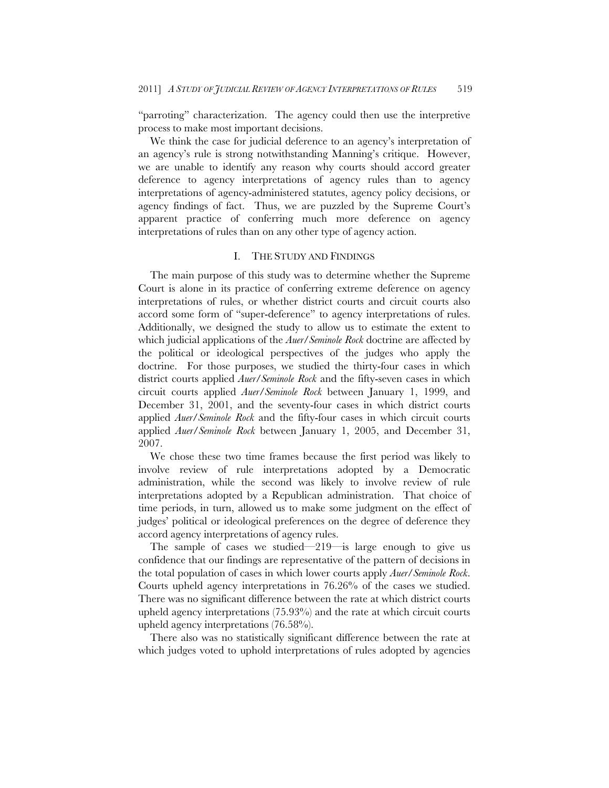"parroting" characterization. The agency could then use the interpretive process to make most important decisions.

We think the case for judicial deference to an agency's interpretation of an agency's rule is strong notwithstanding Manning's critique. However, we are unable to identify any reason why courts should accord greater deference to agency interpretations of agency rules than to agency interpretations of agency-administered statutes, agency policy decisions, or agency findings of fact. Thus, we are puzzled by the Supreme Court's apparent practice of conferring much more deference on agency interpretations of rules than on any other type of agency action.

### I. THE STUDY AND FINDINGS

The main purpose of this study was to determine whether the Supreme Court is alone in its practice of conferring extreme deference on agency interpretations of rules, or whether district courts and circuit courts also accord some form of "super-deference" to agency interpretations of rules. Additionally, we designed the study to allow us to estimate the extent to which judicial applications of the *Auer*/*Seminole Rock* doctrine are affected by the political or ideological perspectives of the judges who apply the doctrine. For those purposes, we studied the thirty-four cases in which district courts applied *Auer*/*Seminole Rock* and the fifty-seven cases in which circuit courts applied *Auer*/*Seminole Rock* between January 1, 1999, and December 31, 2001, and the seventy-four cases in which district courts applied *Auer*/*Seminole Rock* and the fifty-four cases in which circuit courts applied *Auer*/*Seminole Rock* between January 1, 2005, and December 31, 2007.

We chose these two time frames because the first period was likely to involve review of rule interpretations adopted by a Democratic administration, while the second was likely to involve review of rule interpretations adopted by a Republican administration. That choice of time periods, in turn, allowed us to make some judgment on the effect of judges' political or ideological preferences on the degree of deference they accord agency interpretations of agency rules.

The sample of cases we studied—219—is large enough to give us confidence that our findings are representative of the pattern of decisions in the total population of cases in which lower courts apply *Auer*/*Seminole Rock*. Courts upheld agency interpretations in 76.26% of the cases we studied. There was no significant difference between the rate at which district courts upheld agency interpretations (75.93%) and the rate at which circuit courts upheld agency interpretations (76.58%).

There also was no statistically significant difference between the rate at which judges voted to uphold interpretations of rules adopted by agencies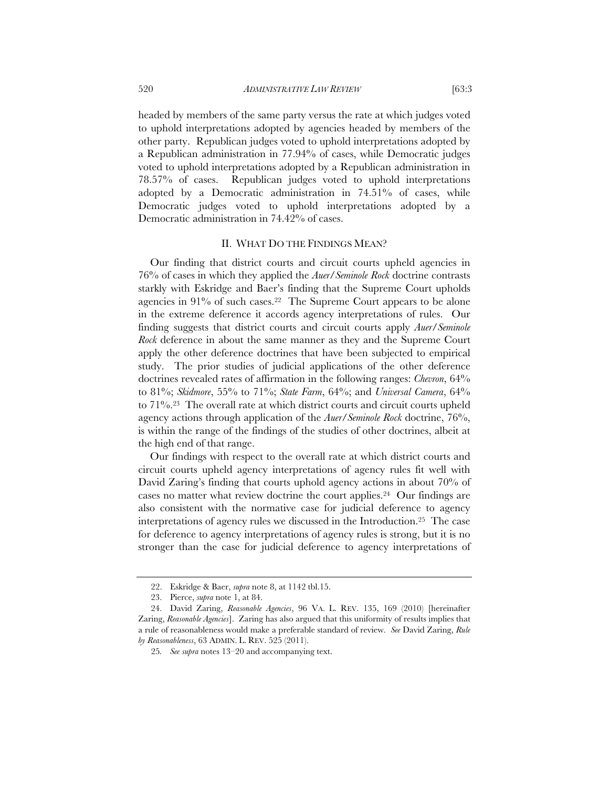headed by members of the same party versus the rate at which judges voted to uphold interpretations adopted by agencies headed by members of the other party. Republican judges voted to uphold interpretations adopted by a Republican administration in 77.94% of cases, while Democratic judges voted to uphold interpretations adopted by a Republican administration in 78.57% of cases. Republican judges voted to uphold interpretations adopted by a Democratic administration in 74.51% of cases, while Democratic judges voted to uphold interpretations adopted by a Democratic administration in 74.42% of cases.

#### II. WHAT DO THE FINDINGS MEAN?

Our finding that district courts and circuit courts upheld agencies in 76% of cases in which they applied the *Auer*/*Seminole Rock* doctrine contrasts starkly with Eskridge and Baer's finding that the Supreme Court upholds agencies in 91% of such cases.22 The Supreme Court appears to be alone in the extreme deference it accords agency interpretations of rules. Our finding suggests that district courts and circuit courts apply *Auer*/*Seminole Rock* deference in about the same manner as they and the Supreme Court apply the other deference doctrines that have been subjected to empirical study. The prior studies of judicial applications of the other deference doctrines revealed rates of affirmation in the following ranges: *Chevron*, 64% to 81%; *Skidmore*, 55% to 71%; *State Farm*, 64%; and *Universal Camera*, 64% to 71%.23 The overall rate at which district courts and circuit courts upheld agency actions through application of the *Auer*/*Seminole Rock* doctrine, 76%, is within the range of the findings of the studies of other doctrines, albeit at the high end of that range.

Our findings with respect to the overall rate at which district courts and circuit courts upheld agency interpretations of agency rules fit well with David Zaring's finding that courts uphold agency actions in about 70% of cases no matter what review doctrine the court applies.24 Our findings are also consistent with the normative case for judicial deference to agency interpretations of agency rules we discussed in the Introduction.25 The case for deference to agency interpretations of agency rules is strong, but it is no stronger than the case for judicial deference to agency interpretations of

<sup>22.</sup> Eskridge & Baer, *supra* note 8, at 1142 tbl.15.

<sup>23.</sup> Pierce, *supra* note 1, at 84.

<sup>24.</sup> David Zaring, *Reasonable Agencies*, 96 VA. L. REV. 135, 169 (2010) [hereinafter Zaring, *Reasonable Agencies*]. Zaring has also argued that this uniformity of results implies that a rule of reasonableness would make a preferable standard of review. *See* David Zaring, *Rule by Reasonableness*, 63 ADMIN. L. REV. 525 (2011).

<sup>25</sup>*. See supra* notes 13–20 and accompanying text.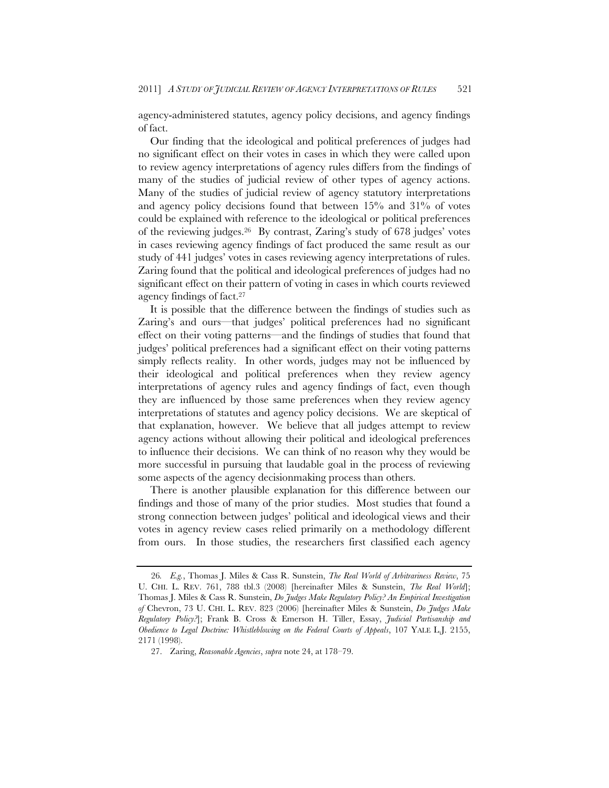agency-administered statutes, agency policy decisions, and agency findings of fact.

Our finding that the ideological and political preferences of judges had no significant effect on their votes in cases in which they were called upon to review agency interpretations of agency rules differs from the findings of many of the studies of judicial review of other types of agency actions. Many of the studies of judicial review of agency statutory interpretations and agency policy decisions found that between 15% and 31% of votes could be explained with reference to the ideological or political preferences of the reviewing judges.26 By contrast, Zaring's study of 678 judges' votes in cases reviewing agency findings of fact produced the same result as our study of 441 judges' votes in cases reviewing agency interpretations of rules. Zaring found that the political and ideological preferences of judges had no significant effect on their pattern of voting in cases in which courts reviewed agency findings of fact.27

It is possible that the difference between the findings of studies such as Zaring's and ours—that judges' political preferences had no significant effect on their voting patterns—and the findings of studies that found that judges' political preferences had a significant effect on their voting patterns simply reflects reality. In other words, judges may not be influenced by their ideological and political preferences when they review agency interpretations of agency rules and agency findings of fact, even though they are influenced by those same preferences when they review agency interpretations of statutes and agency policy decisions. We are skeptical of that explanation, however. We believe that all judges attempt to review agency actions without allowing their political and ideological preferences to influence their decisions. We can think of no reason why they would be more successful in pursuing that laudable goal in the process of reviewing some aspects of the agency decisionmaking process than others.

There is another plausible explanation for this difference between our findings and those of many of the prior studies. Most studies that found a strong connection between judges' political and ideological views and their votes in agency review cases relied primarily on a methodology different from ours. In those studies, the researchers first classified each agency

<sup>26</sup>*. E.g.*, Thomas J. Miles & Cass R. Sunstein, *The Real World of Arbitrariness Review*, 75 U. CHI. L. REV. 761, 788 tbl.3 (2008) [hereinafter Miles & Sunstein, *The Real World*]; Thomas J. Miles & Cass R. Sunstein, *Do Judges Make Regulatory Policy? An Empirical Investigation of* Chevron, 73 U. CHI. L. REV. 823 (2006) [hereinafter Miles & Sunstein, *Do Judges Make Regulatory Policy?*]; Frank B. Cross & Emerson H. Tiller, Essay, *Judicial Partisanship and Obedience to Legal Doctrine: Whistleblowing on the Federal Courts of Appeals*, 107 YALE L.J. 2155, 2171 (1998).

<sup>27.</sup> Zaring, *Reasonable Agencies*, *supra* note 24, at 178–79.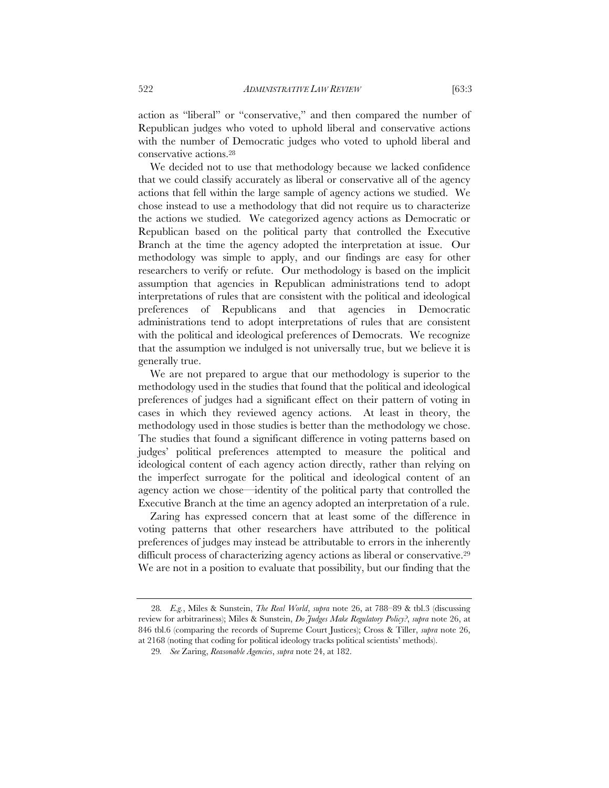action as "liberal" or "conservative," and then compared the number of Republican judges who voted to uphold liberal and conservative actions with the number of Democratic judges who voted to uphold liberal and

We decided not to use that methodology because we lacked confidence that we could classify accurately as liberal or conservative all of the agency actions that fell within the large sample of agency actions we studied. We chose instead to use a methodology that did not require us to characterize the actions we studied. We categorized agency actions as Democratic or Republican based on the political party that controlled the Executive Branch at the time the agency adopted the interpretation at issue. Our methodology was simple to apply, and our findings are easy for other researchers to verify or refute. Our methodology is based on the implicit assumption that agencies in Republican administrations tend to adopt interpretations of rules that are consistent with the political and ideological preferences of Republicans and that agencies in Democratic administrations tend to adopt interpretations of rules that are consistent with the political and ideological preferences of Democrats. We recognize that the assumption we indulged is not universally true, but we believe it is generally true.

We are not prepared to argue that our methodology is superior to the methodology used in the studies that found that the political and ideological preferences of judges had a significant effect on their pattern of voting in cases in which they reviewed agency actions. At least in theory, the methodology used in those studies is better than the methodology we chose. The studies that found a significant difference in voting patterns based on judges' political preferences attempted to measure the political and ideological content of each agency action directly, rather than relying on the imperfect surrogate for the political and ideological content of an agency action we chose—identity of the political party that controlled the Executive Branch at the time an agency adopted an interpretation of a rule.

Zaring has expressed concern that at least some of the difference in voting patterns that other researchers have attributed to the political preferences of judges may instead be attributable to errors in the inherently difficult process of characterizing agency actions as liberal or conservative.<sup>29</sup> We are not in a position to evaluate that possibility, but our finding that the

conservative actions.28

<sup>28</sup>*. E.g.*, Miles & Sunstein, *The Real World*, *supra* note 26, at 788–89 & tbl.3 (discussing review for arbitrariness); Miles & Sunstein, *Do Judges Make Regulatory Policy?*, *supra* note 26, at 846 tbl.6 (comparing the records of Supreme Court Justices); Cross & Tiller, *supra* note 26, at 2168 (noting that coding for political ideology tracks political scientists' methods).

<sup>29</sup>*. See* Zaring, *Reasonable Agencies*, *supra* note 24, at 182.